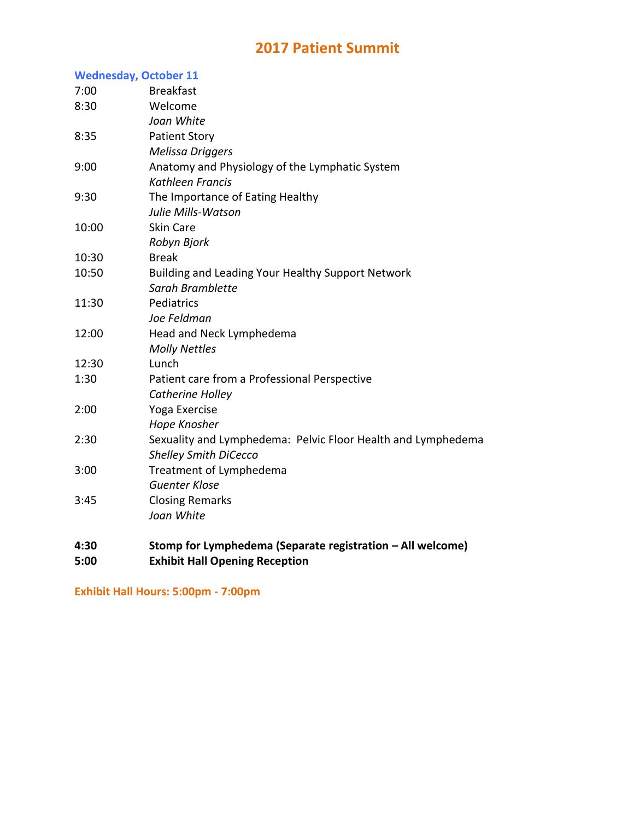## **2017 Patient Summit**

## **Wednesday, October 11**

| 4:30         | Stomp for Lymphedema (Separate registration - All welcome)   |
|--------------|--------------------------------------------------------------|
|              | Joan White                                                   |
| 3:45         | <b>Closing Remarks</b>                                       |
| 3:00         | Treatment of Lymphedema<br><b>Guenter Klose</b>              |
|              | <b>Shelley Smith DiCecco</b>                                 |
| 2:30         | Sexuality and Lymphedema: Pelvic Floor Health and Lymphedema |
|              | Hope Knosher                                                 |
| 2:00         | Catherine Holley<br>Yoga Exercise                            |
| 1:30         | Patient care from a Professional Perspective                 |
| 12:30        | Lunch                                                        |
|              | <b>Molly Nettles</b>                                         |
| 12:00        | Head and Neck Lymphedema                                     |
|              | Joe Feldman                                                  |
| 11:30        | Pediatrics                                                   |
|              | Sarah Bramblette                                             |
| 10:50        | Building and Leading Your Healthy Support Network            |
| 10:30        | <b>Break</b>                                                 |
|              | Robyn Bjork                                                  |
| 10:00        | <b>Skin Care</b>                                             |
|              | Julie Mills-Watson                                           |
| 9:30         | The Importance of Eating Healthy                             |
|              | Kathleen Francis                                             |
| 8:35<br>9:00 | Anatomy and Physiology of the Lymphatic System               |
|              | <b>Patient Story</b><br><b>Melissa Driggers</b>              |
|              | Joan White                                                   |
| 8:30         | Welcome                                                      |
| 7:00         | <b>Breakfast</b>                                             |
|              |                                                              |

**5:00 Exhibit Hall Opening Reception**

**Exhibit Hall Hours: 5:00pm - 7:00pm**